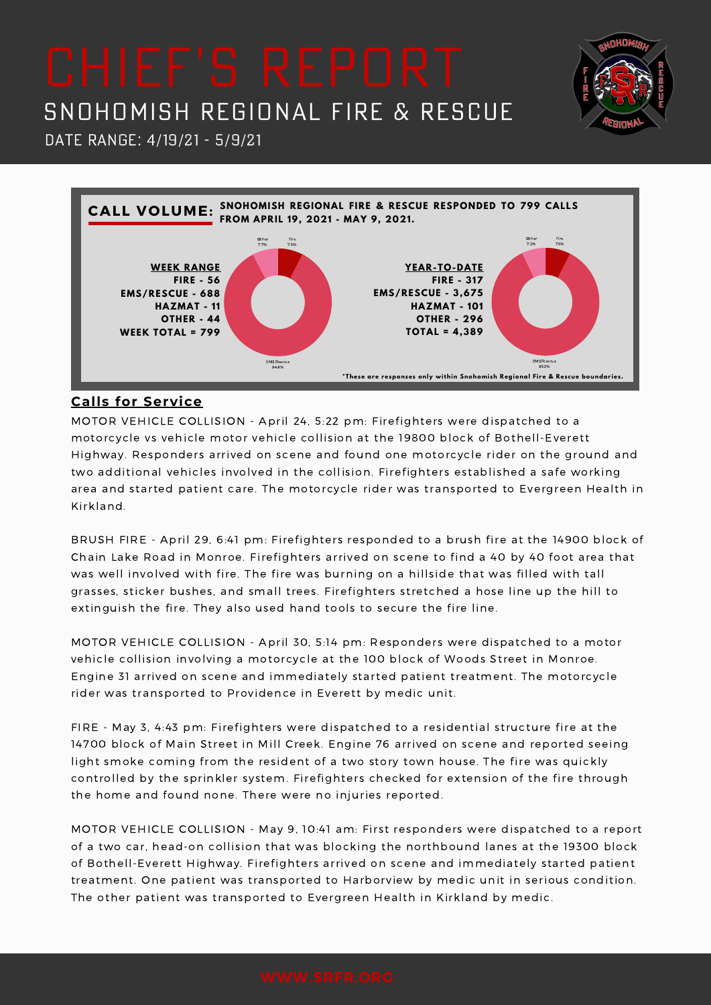Date Range: 4/19/21 - 5/9/21



**NHOM** 

# **Calls for Service**

MOTOR VEHICLE COLLISION - April 24, 5:22 pm: Firefighters were dispatched to a motorcycle vs vehicle motor vehicle collision at the 19800 block of Bothell-Everett Highway. Responders arrived on scene and found one motorcycle rider on the ground and two additional vehicles involved in the collision. Firefighters established a safe working area and started patient care. The motorcycle rider was transported to Evergreen Health in Kirkland.

BRUSH FIRE - April 29, 6:41 pm: Firefighters responded to a brush fire at the 14900 block of Chain Lake Road in Monroe. Firefighters arrived on scene to find a 40 by 40 foot area that was well involved with fire. The fire was burning on a hillside that was filled with tall grasses, sticker bushes, and small trees. Firefighters stretched a hose line up the hill to extinguish the fire. They also used hand tools to secure the fire line.

MOTOR VEHICLE COLLISION - April 30, 5:14 pm: Responders were dispatched to a motor vehicle collision involving a motorcycle at the 100 block of Woods Street in Monroe. Engine 31 arrived on scene and immediately started patient treatment. The motorcycle rider was transported to Providence in Everett by medic unit.

FIRE - May 3, 4:43 pm: Firefighters were dispatched to a residential structure fire at the 14700 block of Main Street in Mill Creek. Engine 76 arrived on scene and reported seeing light smoke coming from the resident of a two story town house. The fire was quickly controlled by the sprinkler system. Firefighters checked for extension of the fire through the home and found none. There were no injuries reported.

MOTOR VEHICLE COLLISION - May 9, 10:41 am: First responders were dispatched to a report of a two car, head-on collision that was blocking the northbound lanes at the 19300 block of Bothell-Everett Highway. Firefighters arrived on scene and immediately started patient treatment. One patient was transported to Harborview by medic unit in serious condition. The other patient was transported to Evergreen Health in Kirkland by medic.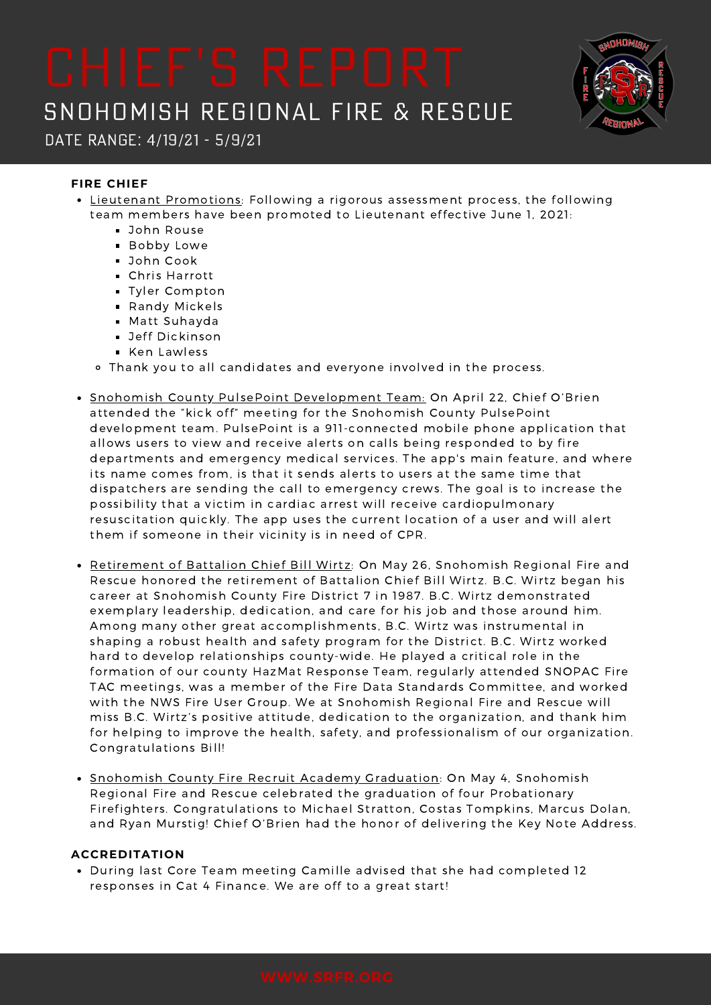Date Range: 4/19/21 - 5/9/21

## **FIRE CHIEF**

- Lieutenant Promotions: Following a rigorous assessment process, the following team members have been promoted to Lieutenant effective June 1, 2021:
	- **John Rouse**
	- Bobby Lowe
	- John Cook
	- Chris Harrott
	- **Tyler Compton**
	- Randy Mickels
	- Matt Suhayda
	- **Jeff Dickinson**
	- Ken Lawless
	- Thank you to all candidates and everyone involved in the process.
- Snohomish County PulsePoint Development Team: On April 22, Chief O'Brien attended the "kick off" meeting for the Snohomish County PulsePoint development team. PulsePoint is a 911-connected mobile phone application that allows users to view and receive alerts on calls being responded to by fire departments and emergency medical services. The app's main feature, and where its name comes from, is that it sends alerts to users at the same time that dispatchers are sending the call to emergency crews. The goal is to increase the possibility that a victim in cardiac arrest will receive cardiopulmonary resuscitation quickly. The app uses the current location of a user and will alert them if someone in their vicinity is in need of CPR.
- Retirement of Battalion Chief Bill Wirtz: On May 26, Snohomish Regional Fire and Rescue honored the retirement of Battalion Chief Bill Wirtz. B.C. Wirtz began his career at Snohomish County Fire District 7 in 1987. B.C. Wirtz demonstrated exemplary leadership, dedication, and care for his job and those around him. Among many other great accomplishments, B.C. Wirtz was instrumental in shaping a robust health and safety program for the District. B.C. Wirtz worked hard to develop relationships county-wide. He played a critical role in the formation of our county HazMat Response Team, regularly attended SNOPAC Fire TAC meetings, was a member of the Fire Data Standards Committee, and worked with the NWS Fire User Group. We at Snohomish Regional Fire and Rescue will miss B.C. Wirtz's positive attitude, dedication to the organization, and thank him for helping to improve the health, safety, and professionalism of our organization. Congratulations Bill!
- Snohomish County Fire Recruit Academy Graduation: On May 4, Snohomish Regional Fire and Rescue celebrated the graduation of four Probationary Firefighters. Congratulations to Michael Stratton, Costas Tompkins, Marcus Dolan, and Ryan Murstig! Chief O'Brien had the honor of delivering the Key Note Address.

### **ACCREDITATION**

During last Core Team meeting Camille advised that she had completed 12 responses in Cat 4 Finance. We are off to a great start!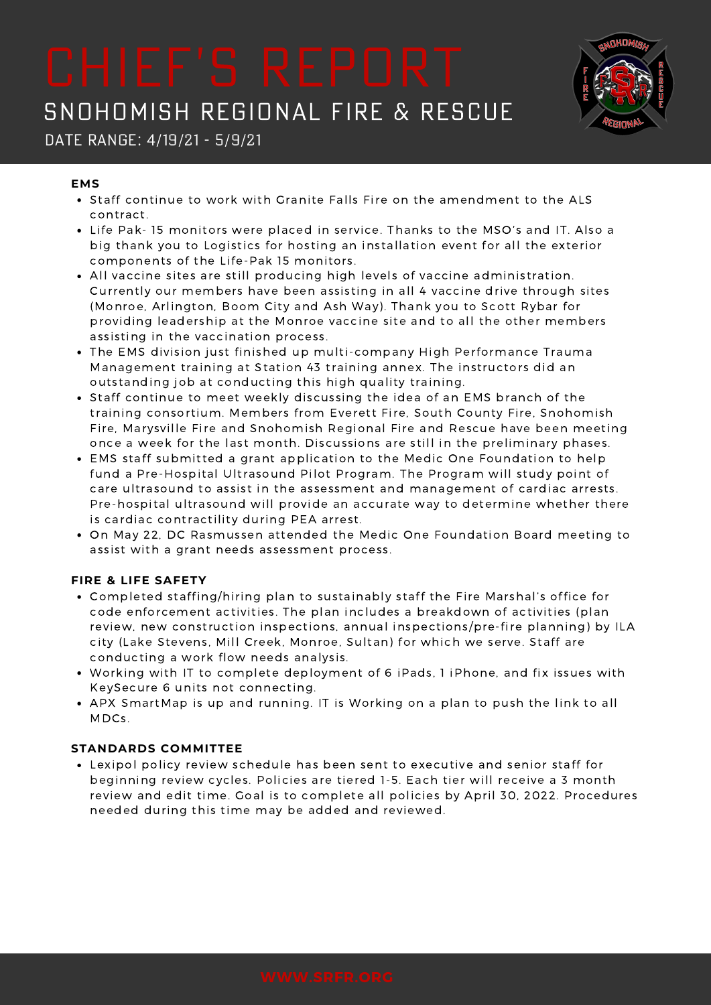

# Date Range: 4/19/21 - 5/9/21

### **EMS**

- Staff continue to work with Granite Falls Fire on the amendment to the ALS contract.
- Life Pak- 15 monitors were placed in service. Thanks to the MSO's and IT. Also a big thank you to Logistics for hosting an installation event for all the exterior components of the Life-Pak 15 monitors.
- All vaccine sites are still producing high levels of vaccine administration. Currently our members have been assisting in all 4 vaccine drive through sites (Monroe, Arlington, Boom City and Ash Way). Thank you to Scott Rybar for providing leadership at the Monroe vaccine site and to all the other members assisting in the vaccination process.
- The EMS division just finished up multi-company High Performance Trauma Management training at Station 43 training annex. The instructors did an outstanding job at conducting this high quality training.
- Staff continue to meet weekly discussing the idea of an EMS branch of the training consortium. Members from Everett Fire, South County Fire, Snohomish Fire, Marysville Fire and Snohomish Regional Fire and Rescue have been meeting once a week for the last month. Discussions are still in the preliminary phases.
- EMS staff submitted a grant application to the Medic One Foundation to help fund a Pre-Hospital Ultrasound Pilot Program. The Program will study point of care ultrasound to assist in the assessment and management of cardiac arrests. Pre-hospital ultrasound will provide an accurate way to determine whether there is cardiac contractility during PEA arrest.
- On May 22, DC Rasmussen attended the Medic One Foundation Board meeting to assist with a grant needs assessment process.

# **FIRE & LIFE SAFETY**

- Completed staffing/hiring plan to sustainably staff the Fire Marshal's office for code enforcement activities. The plan includes a breakdown of activities (plan review, new construction inspections, annual inspections/pre-fire planning) by ILA city (Lake Stevens, Mill Creek, Monroe, Sultan) for which we serve. Staff are conducting a work flow needs analysis.
- Working with IT to complete deployment of 6 iPads, 1 iPhone, and fix issues with KeySecure 6 units not connecting.
- APX SmartMap is up and running. IT is Working on a plan to push the link to all MDCs.

# **STANDARDS COMMITTEE**

Lexipol policy review schedule has been sent to executive and senior staff for beginning review cycles. Policies are tiered 1-5. Each tier will receive a 3 month review and edit time. Goal is to complete all policies by April 30, 2022. Procedures needed during this time may be added and reviewed.

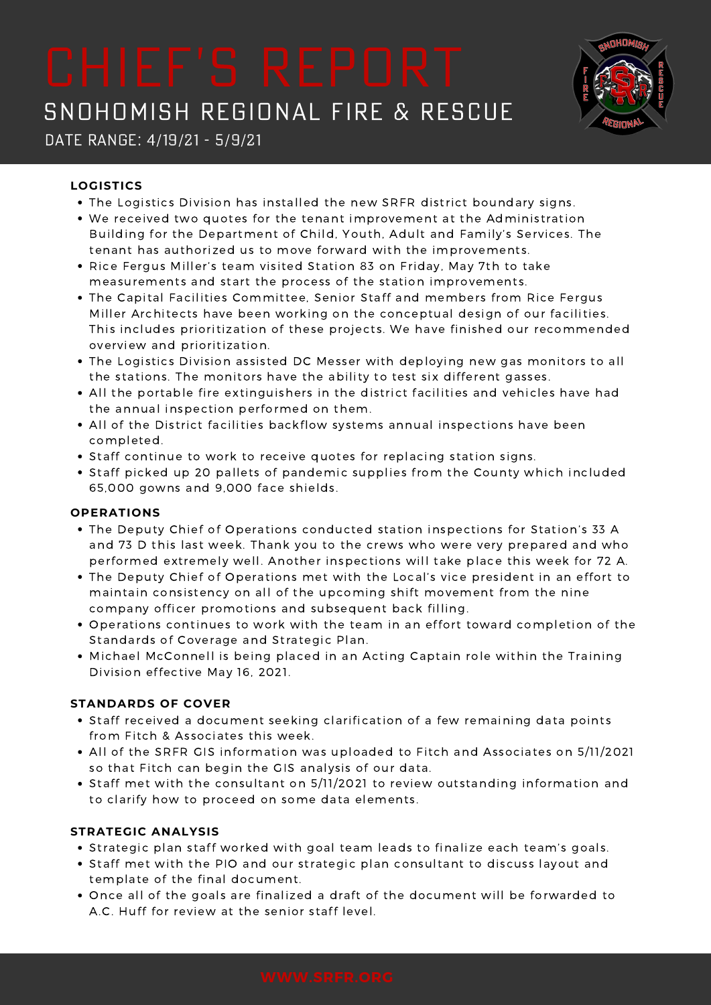

# Date Range: 4/19/21 - 5/9/21

# **LOGISTICS**

- The Logistics Division has installed the new SRFR district boundary signs.
- We received two quotes for the tenant improvement at the Administration Building for the Department of Child, Youth, Adult and Family's Services. The tenant has authorized us to move forward with the improvements.
- Rice Fergus Miller's team visited Station 83 on Friday, May 7th to take measurements and start the process of the station improvements.
- The Capital Facilities Committee, Senior Staff and members from Rice Fergus Miller Architects have been working on the conceptual design of our facilities. This includes prioritization of these projects. We have finished our recommended overview and prioritization.
- The Logistics Division assisted DC Messer with deploying new gas monitors to all the stations. The monitors have the ability to test six different gasses.
- All the portable fire extinguishers in the district facilities and vehicles have had the annual inspection performed on them.
- All of the District facilities backflow systems annual inspections have been completed.
- Staff continue to work to receive quotes for replacing station signs.
- Staff picked up 20 pallets of pandemic supplies from the County which included 65,000 gowns and 9,000 face shields.

# **OPERATIONS**

- The Deputy Chief of Operations conducted station inspections for Station's 33 A and 73 D this last week. Thank you to the crews who were very prepared and who performed extremely well. Another inspections will take place this week for 72 A.
- The Deputy Chief of Operations met with the Local's vice president in an effort to maintain consistency on all of the upcoming shift movement from the nine company officer promotions and subsequent back filling.
- Operations continues to work with the team in an effort toward completion of the Standards of Coverage and Strategic Plan.
- Michael McConnell is being placed in an Acting Captain role within the Training Division effective May 16, 2021.

# **STANDARDS OF COVER**

- Staff received a document seeking clarification of a few remaining data points from Fitch & Associates this week.
- All of the SRFR GIS information was uploaded to Fitch and Associates on 5/11/2021 so that Fitch can begin the GIS analysis of our data.
- Staff met with the consultant on 5/11/2021 to review outstanding information and to clarify how to proceed on some data elements.

# **STRATEGIC ANALYSIS**

- **Strategic plan staff worked with goal team leads to finalize each team's goals.**
- Staff met with the PIO and our strategic plan consultant to discuss layout and template of the final document.
- Once all of the goals are finalized a draft of the document will be forwarded to A.C. Huff for review at the senior staff level.